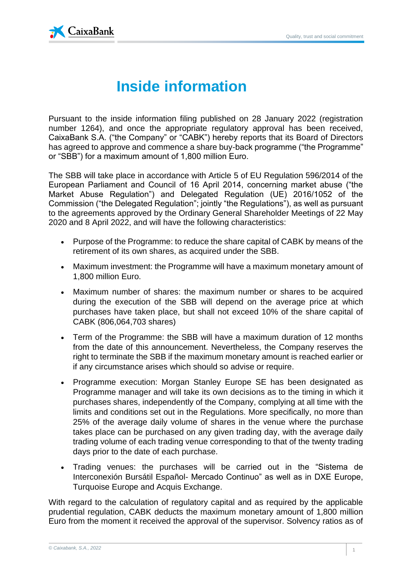

## **Inside information**

Pursuant to the inside information filing published on 28 January 2022 (registration number 1264), and once the appropriate regulatory approval has been received, CaixaBank S.A. ("the Company" or "CABK") hereby reports that its Board of Directors has agreed to approve and commence a share buy-back programme ("the Programme" or "SBB") for a maximum amount of 1,800 million Euro.

The SBB will take place in accordance with Article 5 of EU Regulation 596/2014 of the European Parliament and Council of 16 April 2014, concerning market abuse ("the Market Abuse Regulation") and Delegated Regulation (UE) 2016/1052 of the Commission ("the Delegated Regulation"; jointly "the Regulations"), as well as pursuant to the agreements approved by the Ordinary General Shareholder Meetings of 22 May 2020 and 8 April 2022, and will have the following characteristics:

- Purpose of the Programme: to reduce the share capital of CABK by means of the retirement of its own shares, as acquired under the SBB.
- Maximum investment: the Programme will have a maximum monetary amount of 1,800 million Euro.
- Maximum number of shares: the maximum number or shares to be acquired during the execution of the SBB will depend on the average price at which purchases have taken place, but shall not exceed 10% of the share capital of CABK (806,064,703 shares)
- Term of the Programme: the SBB will have a maximum duration of 12 months from the date of this announcement. Nevertheless, the Company reserves the right to terminate the SBB if the maximum monetary amount is reached earlier or if any circumstance arises which should so advise or require.
- Programme execution: Morgan Stanley Europe SE has been designated as Programme manager and will take its own decisions as to the timing in which it purchases shares, independently of the Company, complying at all time with the limits and conditions set out in the Regulations. More specifically, no more than 25% of the average daily volume of shares in the venue where the purchase takes place can be purchased on any given trading day, with the average daily trading volume of each trading venue corresponding to that of the twenty trading days prior to the date of each purchase.
- Trading venues: the purchases will be carried out in the "Sistema de Interconexión Bursátil Español- Mercado Continuo" as well as in DXE Europe, Turquoise Europe and Acquis Exchange.

With regard to the calculation of regulatory capital and as required by the applicable prudential regulation, CABK deducts the maximum monetary amount of 1,800 million Euro from the moment it received the approval of the supervisor. Solvency ratios as of